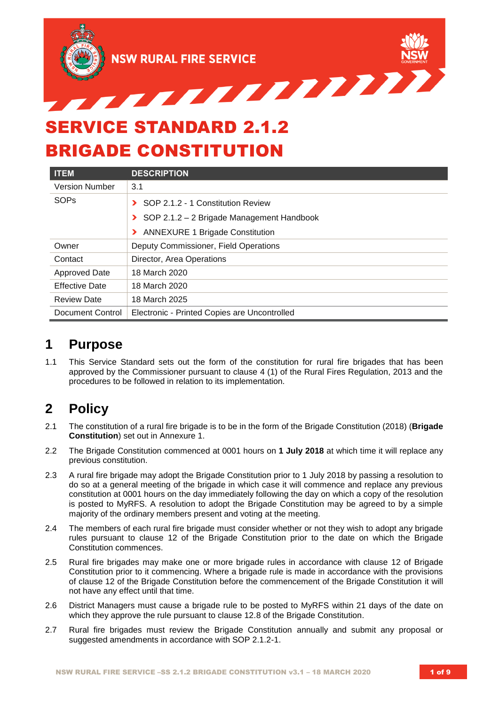

# SERVICE STANDARD 2.1.2 BRIGADE CONSTITUTION

| <b>ITEM</b>           | <b>DESCRIPTION</b>                           |
|-----------------------|----------------------------------------------|
| <b>Version Number</b> | 3.1                                          |
| <b>SOPs</b>           | SOP 2.1.2 - 1 Constitution Review            |
|                       | SOP 2.1.2 - 2 Brigade Management Handbook    |
|                       | > ANNEXURE 1 Brigade Constitution            |
| Owner                 | Deputy Commissioner, Field Operations        |
| Contact               | Director, Area Operations                    |
| <b>Approved Date</b>  | 18 March 2020                                |
| <b>Effective Date</b> | 18 March 2020                                |
| <b>Review Date</b>    | 18 March 2025                                |
| Document Control      | Electronic - Printed Copies are Uncontrolled |

# **1 Purpose**

1.1 This Service Standard sets out the form of the constitution for rural fire brigades that has been approved by the Commissioner pursuant to clause 4 (1) of the Rural Fires Regulation, 2013 and the procedures to be followed in relation to its implementation.

# **2 Policy**

- 2.1 The constitution of a rural fire brigade is to be in the form of the Brigade Constitution (2018) (**Brigade Constitution**) set out in Annexure 1.
- 2.2 The Brigade Constitution commenced at 0001 hours on **1 July 2018** at which time it will replace any previous constitution.
- 2.3 A rural fire brigade may adopt the Brigade Constitution prior to 1 July 2018 by passing a resolution to do so at a general meeting of the brigade in which case it will commence and replace any previous constitution at 0001 hours on the day immediately following the day on which a copy of the resolution is posted to MyRFS. A resolution to adopt the Brigade Constitution may be agreed to by a simple majority of the ordinary members present and voting at the meeting.
- 2.4 The members of each rural fire brigade must consider whether or not they wish to adopt any brigade rules pursuant to clause 12 of the Brigade Constitution prior to the date on which the Brigade Constitution commences.
- 2.5 Rural fire brigades may make one or more brigade rules in accordance with clause 12 of Brigade Constitution prior to it commencing. Where a brigade rule is made in accordance with the provisions of clause 12 of the Brigade Constitution before the commencement of the Brigade Constitution it will not have any effect until that time.
- 2.6 District Managers must cause a brigade rule to be posted to MyRFS within 21 days of the date on which they approve the rule pursuant to clause 12.8 of the Brigade Constitution.
- 2.7 Rural fire brigades must review the Brigade Constitution annually and submit any proposal or suggested amendments in accordance with SOP 2.1.2-1.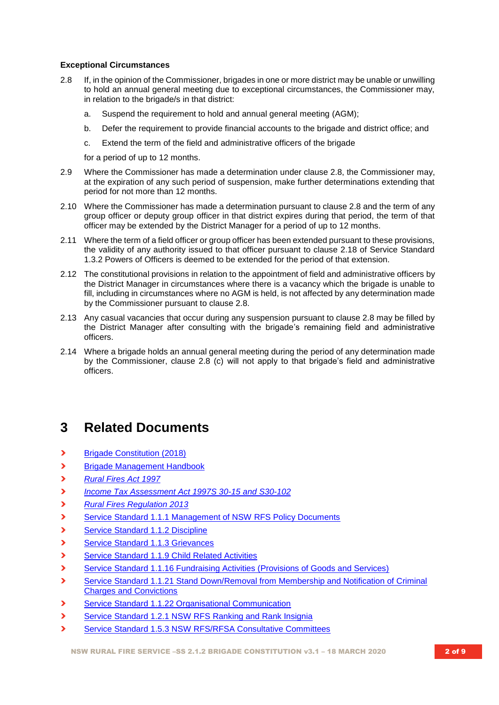#### **Exceptional Circumstances**

- 2.8 If, in the opinion of the Commissioner, brigades in one or more district may be unable or unwilling to hold an annual general meeting due to exceptional circumstances, the Commissioner may, in relation to the brigade/s in that district:
	- a. Suspend the requirement to hold and annual general meeting (AGM);
	- b. Defer the requirement to provide financial accounts to the brigade and district office; and
	- c. Extend the term of the field and administrative officers of the brigade

for a period of up to 12 months.

- 2.9 Where the Commissioner has made a determination under clause 2.8, the Commissioner may, at the expiration of any such period of suspension, make further determinations extending that period for not more than 12 months.
- 2.10 Where the Commissioner has made a determination pursuant to clause 2.8 and the term of any group officer or deputy group officer in that district expires during that period, the term of that officer may be extended by the District Manager for a period of up to 12 months.
- 2.11 Where the term of a field officer or group officer has been extended pursuant to these provisions, the validity of any authority issued to that officer pursuant to clause 2.18 of Service Standard 1.3.2 Powers of Officers is deemed to be extended for the period of that extension.
- 2.12 The constitutional provisions in relation to the appointment of field and administrative officers by the District Manager in circumstances where there is a vacancy which the brigade is unable to fill, including in circumstances where no AGM is held, is not affected by any determination made by the Commissioner pursuant to clause 2.8.
- 2.13 Any casual vacancies that occur during any suspension pursuant to clause 2.8 may be filled by the District Manager after consulting with the brigade's remaining field and administrative officers.
- 2.14 Where a brigade holds an annual general meeting during the period of any determination made by the Commissioner, clause 2.8 (c) will not apply to that brigade's field and administrative officers.

# **3 Related Documents**

- **›** [Brigade Constitution \(2018\)](https://www.myrfs.nsw.gov.au/DesktopModules/Bring2mind/DMX/Download.aspx?EntryId=27587&PortalId=0&DownloadMethod=attachment)
- **›** [Brigade Management Handbook](https://www.myrfs.nsw.gov.au/DesktopModules/Bring2mind/DMX/Download.aspx?EntryId=27586&PortalId=0&DownloadMethod=attachment)
- **›** *[Rural Fires Act 1997](http://www.legislation.nsw.gov.au/fragview/inforce/act+65+1997+whole+0+N?tocnav=y)*
- **›** *[Income Tax Assessment Act 1997S 30-15](http://www.comlaw.gov.au/Details/C2013C00367) and S30-102*
- **›** *[Rural Fires Regulation 2013](http://www.austlii.edu.au/cgi-bin/viewdb/au/legis/nsw/consol_reg/rfr2013229/)*
- **>** [Service Standard 1.1.1 Management of NSW RFS Policy Documents](https://www.myrfs.nsw.gov.au/DesktopModules/Bring2mind/DMX/Download.aspx?EntryId=15454&PortalId=0&DownloadMethod=attachment)
- **›** [Service Standard 1.1.2 Discipline](https://www.myrfs.nsw.gov.au/DesktopModules/Bring2mind/DMX/Download.aspx?EntryId=15458&PortalId=0&DownloadMethod=attachment)
- **›** [Service Standard 1.1.3 Grievances](https://www.myrfs.nsw.gov.au/DesktopModules/Bring2mind/DMX/Download.aspx?EntryId=15459&PortalId=0&DownloadMethod=attachment)
- **›** [Service Standard 1.1.9 Child Related Activities](https://www.myrfs.nsw.gov.au/DesktopModules/Bring2mind/DMX/Download.aspx?EntryId=15468&PortalId=0&DownloadMethod=attachment)
- **›** [Service Standard 1.1.16 Fundraising Activities \(Provisions of Goods and Services\)](https://www.myrfs.nsw.gov.au/DesktopModules/Bring2mind/DMX/Download.aspx?EntryId=15473&PortalId=0&DownloadMethod=attachment)
- **›** [Service Standard 1.1.21 Stand Down/Removal from Membership and Notification of Criminal](https://www.myrfs.nsw.gov.au/DesktopModules/Bring2mind/DMX/Download.aspx?EntryId=15478&PortalId=0&DownloadMethod=attachment)  [Charges and Convictions](https://www.myrfs.nsw.gov.au/DesktopModules/Bring2mind/DMX/Download.aspx?EntryId=15478&PortalId=0&DownloadMethod=attachment)
- **>** [Service Standard 1.1.22 Organisational Communication](https://www.myrfs.nsw.gov.au/DesktopModules/Bring2mind/DMX/Download.aspx?EntryId=15479&PortalId=0&DownloadMethod=attachment)
- **›** [Service Standard 1.2.1 NSW RFS Ranking and Rank Insignia](https://www.myrfs.nsw.gov.au/DesktopModules/Bring2mind/DMX/Download.aspx?EntryId=15489&PortalId=0&DownloadMethod=attachment)
- **›** [Service Standard 1.5.3 NSW RFS/RFSA Consultative Committees](https://www.myrfs.nsw.gov.au/DesktopModules/Bring2mind/DMX/Download.aspx?EntryId=15475&PortalId=0&DownloadMethod=attachment)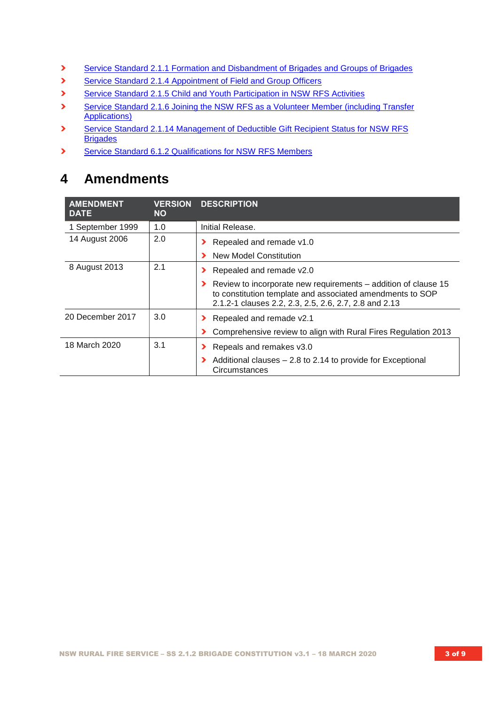- **›** [Service Standard 2.1.1 Formation and Disbandment of Brigades and Groups of Brigades](https://www.myrfs.nsw.gov.au/DesktopModules/Bring2mind/DMX/Download.aspx?EntryId=15497&PortalId=0&DownloadMethod=attachment)
- **›** [Service Standard 2.1.4 Appointment of Field and Group Officers](https://www.myrfs.nsw.gov.au/DesktopModules/Bring2mind/DMX/Download.aspx?EntryId=15501&PortalId=0&DownloadMethod=attachment)
- **›** [Service Standard 2.1.5 Child and Youth Participation in NSW RFS Activities](https://www.myrfs.nsw.gov.au/DesktopModules/Bring2mind/DMX/Download.aspx?EntryId=15502&PortalId=0&DownloadMethod=attachment)
- **›** Service Standard [2.1.6 Joining the NSW RFS as a Volunteer Member \(including Transfer](https://www.myrfs.nsw.gov.au/DesktopModules/Bring2mind/DMX/Download.aspx?EntryId=15503&PortalId=0&DownloadMethod=attachment)  [Applications\)](https://www.myrfs.nsw.gov.au/DesktopModules/Bring2mind/DMX/Download.aspx?EntryId=15503&PortalId=0&DownloadMethod=attachment)
- **›** [Service Standard 2.1.14 Management of Deductible Gift Recipient Status for NSW RFS](https://www.myrfs.nsw.gov.au/DesktopModules/Bring2mind/DMX/Download.aspx?EntryId=16775&PortalId=0&DownloadMethod=attachment)  **[Brigades](https://www.myrfs.nsw.gov.au/DesktopModules/Bring2mind/DMX/Download.aspx?EntryId=16775&PortalId=0&DownloadMethod=attachment)**
- **›** [Service Standard 6.1.2 Qualifications for NSW RFS Members](https://www.myrfs.nsw.gov.au/DesktopModules/Bring2mind/DMX/Download.aspx?EntryId=15554&PortalId=0&DownloadMethod=attachment)

# **4 Amendments**

| <b>AMENDMENT</b><br><b>DATE</b> | <b>VERSION</b><br><b>NO</b> | <b>DESCRIPTION</b>                                                                                                                                                                   |
|---------------------------------|-----------------------------|--------------------------------------------------------------------------------------------------------------------------------------------------------------------------------------|
| 1 September 1999                | 1.0                         | Initial Release.                                                                                                                                                                     |
| 14 August 2006                  | 2.0                         | Repealed and remade v1.0<br>New Model Constitution                                                                                                                                   |
| 8 August 2013                   | 2.1                         | Repealed and remade v2.0                                                                                                                                                             |
|                                 |                             | Review to incorporate new requirements – addition of clause 15<br>to constitution template and associated amendments to SOP<br>2.1.2-1 clauses 2.2, 2.3, 2.5, 2.6, 2.7, 2.8 and 2.13 |
| 20 December 2017                | 3.0                         | Repealed and remade v2.1                                                                                                                                                             |
|                                 |                             | Comprehensive review to align with Rural Fires Regulation 2013                                                                                                                       |
| 18 March 2020                   | 3.1                         | Repeals and remakes v3.0                                                                                                                                                             |
|                                 |                             | Additional clauses - 2.8 to 2.14 to provide for Exceptional<br>Circumstances                                                                                                         |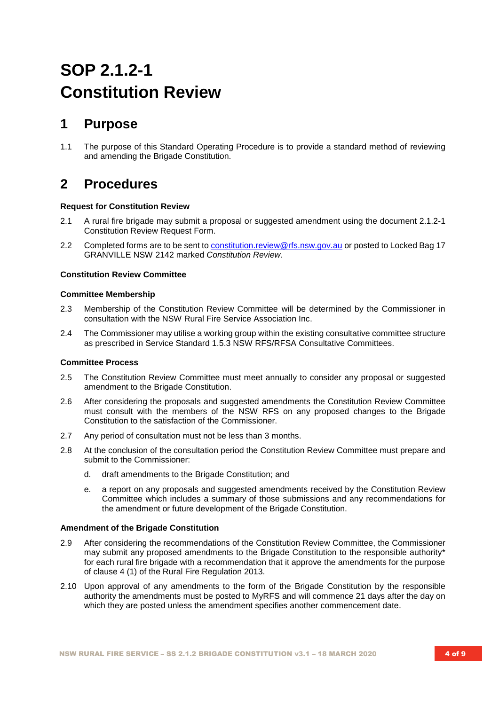# **SOP 2.1.2-1 Constitution Review**

# **1 Purpose**

1.1 The purpose of this Standard Operating Procedure is to provide a standard method of reviewing and amending the Brigade Constitution.

# **2 Procedures**

#### **Request for Constitution Review**

- 2.1 A rural fire brigade may submit a proposal or suggested amendment using the document 2.1.2-1 Constitution Review Request Form.
- 2.2 Completed forms are to be sent to [constitution.review@rfs.nsw.gov.au](mailto:constitution.review@rfs.nsw.gov.au) or posted to Locked Bag 17 GRANVILLE NSW 2142 marked *Constitution Review*.

#### **Constitution Review Committee**

#### **Committee Membership**

- 2.3 Membership of the Constitution Review Committee will be determined by the Commissioner in consultation with the NSW Rural Fire Service Association Inc.
- 2.4 The Commissioner may utilise a working group within the existing consultative committee structure as prescribed in Service Standard 1.5.3 NSW RFS/RFSA Consultative Committees.

#### **Committee Process**

- 2.5 The Constitution Review Committee must meet annually to consider any proposal or suggested amendment to the Brigade Constitution.
- 2.6 After considering the proposals and suggested amendments the Constitution Review Committee must consult with the members of the NSW RFS on any proposed changes to the Brigade Constitution to the satisfaction of the Commissioner.
- 2.7 Any period of consultation must not be less than 3 months.
- 2.8 At the conclusion of the consultation period the Constitution Review Committee must prepare and submit to the Commissioner:
	- d. draft amendments to the Brigade Constitution; and
	- e. a report on any proposals and suggested amendments received by the Constitution Review Committee which includes a summary of those submissions and any recommendations for the amendment or future development of the Brigade Constitution.

#### **Amendment of the Brigade Constitution**

- 2.9 After considering the recommendations of the Constitution Review Committee, the Commissioner may submit any proposed amendments to the Brigade Constitution to the responsible authority\* for each rural fire brigade with a recommendation that it approve the amendments for the purpose of clause 4 (1) of the Rural Fire Regulation 2013.
- 2.10 Upon approval of any amendments to the form of the Brigade Constitution by the responsible authority the amendments must be posted to MyRFS and will commence 21 days after the day on which they are posted unless the amendment specifies another commencement date.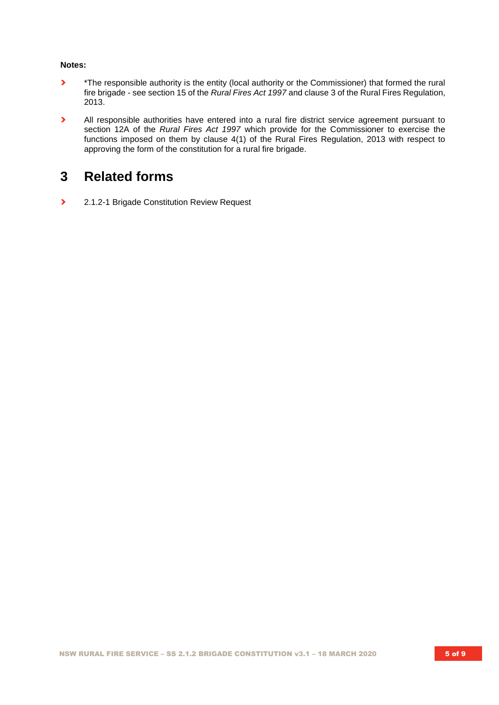#### **Notes:**

- **›** \*The responsible authority is the entity (local authority or the Commissioner) that formed the rural fire brigade - see section 15 of the *Rural Fires Act 1997* and clause 3 of the Rural Fires Regulation, 2013.
- **›** All responsible authorities have entered into a rural fire district service agreement pursuant to section 12A of the *Rural Fires Act 1997* which provide for the Commissioner to exercise the functions imposed on them by clause 4(1) of the Rural Fires Regulation, 2013 with respect to approving the form of the constitution for a rural fire brigade.

# **3 Related forms**

**›** 2.1.2-1 Brigade Constitution Review Request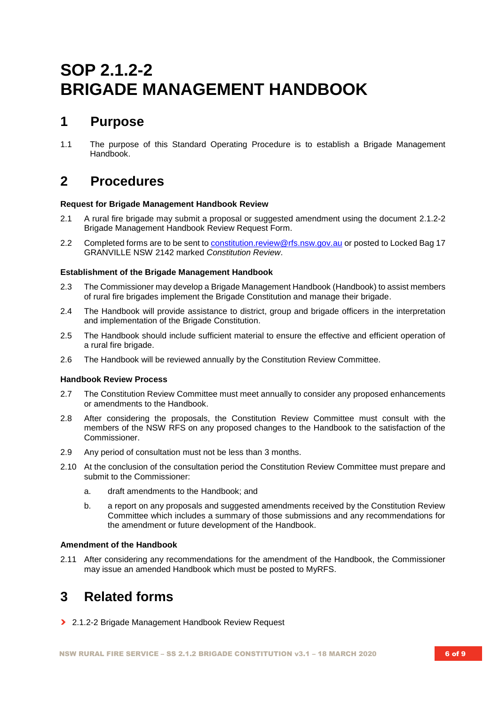# **SOP 2.1.2-2 BRIGADE MANAGEMENT HANDBOOK**

# **1 Purpose**

1.1 The purpose of this Standard Operating Procedure is to establish a Brigade Management Handbook.

# **2 Procedures**

#### **Request for Brigade Management Handbook Review**

- 2.1 A rural fire brigade may submit a proposal or suggested amendment using the document 2.1.2-2 Brigade Management Handbook Review Request Form.
- 2.2 Completed forms are to be sent to [constitution.review@rfs.nsw.gov.au](mailto:constitution.review@rfs.nsw.gov.au) or posted to Locked Bag 17 GRANVILLE NSW 2142 marked *Constitution Review*.

#### **Establishment of the Brigade Management Handbook**

- 2.3 The Commissioner may develop a Brigade Management Handbook (Handbook) to assist members of rural fire brigades implement the Brigade Constitution and manage their brigade.
- 2.4 The Handbook will provide assistance to district, group and brigade officers in the interpretation and implementation of the Brigade Constitution.
- 2.5 The Handbook should include sufficient material to ensure the effective and efficient operation of a rural fire brigade.
- 2.6 The Handbook will be reviewed annually by the Constitution Review Committee.

#### **Handbook Review Process**

- 2.7 The Constitution Review Committee must meet annually to consider any proposed enhancements or amendments to the Handbook.
- 2.8 After considering the proposals, the Constitution Review Committee must consult with the members of the NSW RFS on any proposed changes to the Handbook to the satisfaction of the Commissioner.
- 2.9 Any period of consultation must not be less than 3 months.
- 2.10 At the conclusion of the consultation period the Constitution Review Committee must prepare and submit to the Commissioner:
	- a. draft amendments to the Handbook; and
	- b. a report on any proposals and suggested amendments received by the Constitution Review Committee which includes a summary of those submissions and any recommendations for the amendment or future development of the Handbook.

#### **Amendment of the Handbook**

2.11 After considering any recommendations for the amendment of the Handbook, the Commissioner may issue an amended Handbook which must be posted to MyRFS.

# **3 Related forms**

**›** 2.1.2-2 Brigade Management Handbook Review Request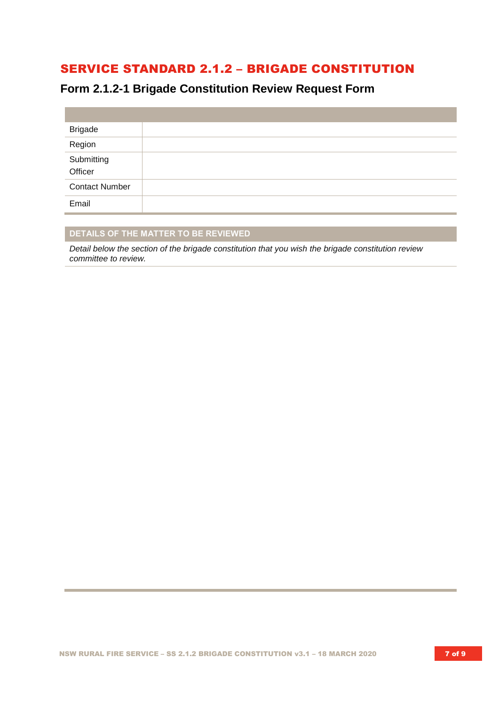# SERVICE STANDARD 2.1.2 – BRIGADE CONSTITUTION

# **Form 2.1.2-1 Brigade Constitution Review Request Form**

| <b>Brigade</b>        |  |
|-----------------------|--|
| Region                |  |
| Submitting<br>Officer |  |
| <b>Contact Number</b> |  |
| Email                 |  |

### **DETAILS OF THE MATTER TO BE REVIEWED**

*Detail below the section of the brigade constitution that you wish the brigade constitution review committee to review.*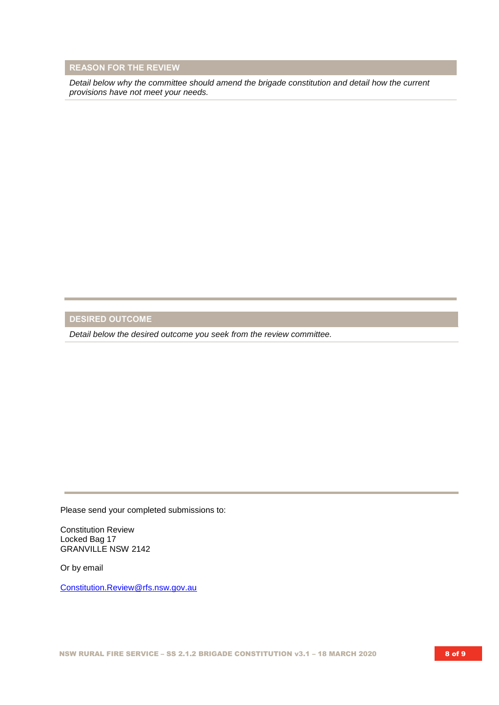#### **REASON FOR THE REVIEW**

*Detail below why the committee should amend the brigade constitution and detail how the current provisions have not meet your needs.* 

# **DESIRED OUTCOME**

*Detail below the desired outcome you seek from the review committee.* 

Please send your completed submissions to:

Constitution Review Locked Bag 17 GRANVILLE NSW 2142

Or by email

[Constitution.Review@rfs.nsw.gov.au](mailto:Constitution.Review@rfs.nsw.gov.au)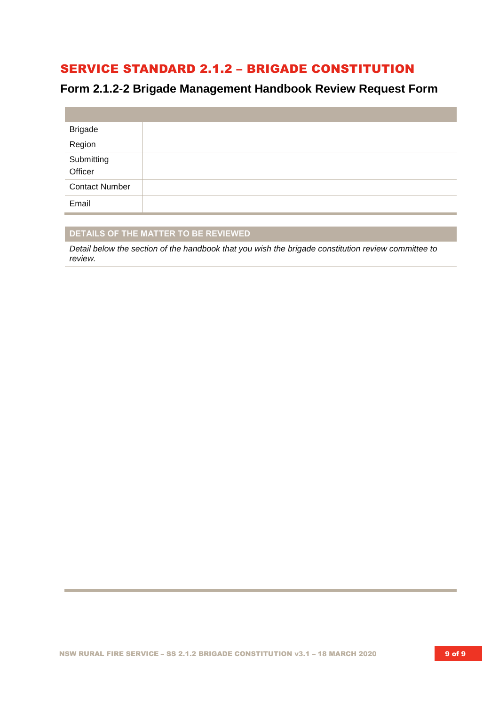# SERVICE STANDARD 2.1.2 – BRIGADE CONSTITUTION

# **Form 2.1.2-2 Brigade Management Handbook Review Request Form**

| <b>Brigade</b>        |  |
|-----------------------|--|
| Region                |  |
| Submitting<br>Officer |  |
| <b>Contact Number</b> |  |
| Email                 |  |

### **DETAILS OF THE MATTER TO BE REVIEWED**

*Detail below the section of the handbook that you wish the brigade constitution review committee to review.*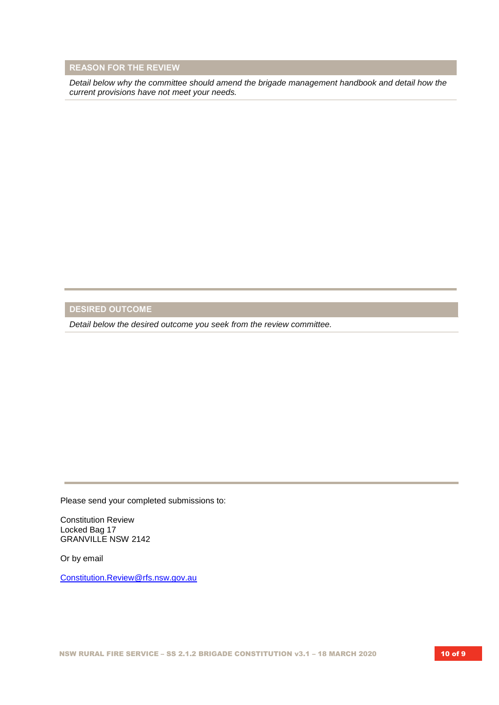#### **REASON FOR THE REVIEW**

*Detail below why the committee should amend the brigade management handbook and detail how the current provisions have not meet your needs.* 

# **DESIRED OUTCOME**

*Detail below the desired outcome you seek from the review committee.* 

Please send your completed submissions to:

Constitution Review Locked Bag 17 GRANVILLE NSW 2142

Or by email

[Constitution.Review@rfs.nsw.gov.au](mailto:Constitution.Review@rfs.nsw.gov.au)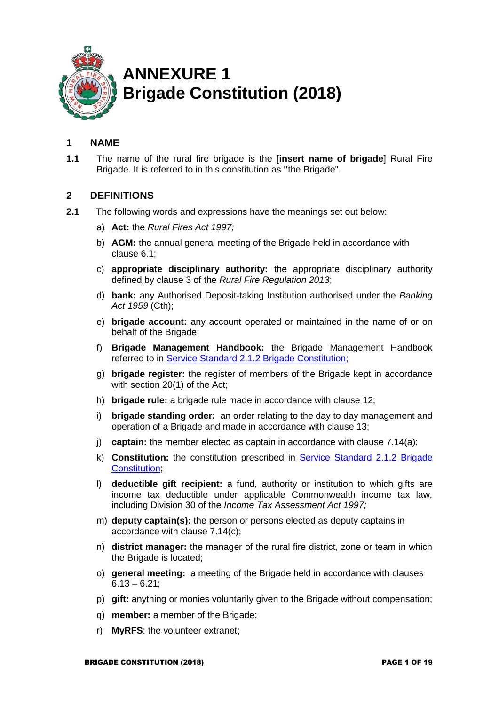

# **ANNEXURE 1 Brigade Constitution (2018)**

# **1 NAME**

**1.1** The name of the rural fire brigade is the [**insert name of brigade**] Rural Fire Brigade. It is referred to in this constitution as **"**the Brigade".

## **2 DEFINITIONS**

- **2.1** The following words and expressions have the meanings set out below:
	- a) **Act:** the *Rural Fires Act 1997;*
	- b) **AGM:** the annual general meeting of the Brigade held in accordance with clause 6.1;
	- c) **appropriate disciplinary authority:** the appropriate disciplinary authority defined by clause 3 of the *Rural Fire Regulation 2013*;
	- d) **bank:** any Authorised Deposit-taking Institution authorised under the *Banking Act 1959* (Cth);
	- e) **brigade account:** any account operated or maintained in the name of or on behalf of the Brigade;
	- f) **Brigade Management Handbook:** the Brigade Management Handbook referred to in [Service Standard 2.1.2 Brigade Constitution;](https://www.myrfs.nsw.gov.au/DesktopModules/Bring2mind/DMX/Download.aspx?EntryId=15498&PortalId=0&DownloadMethod=attachment)
	- g) **brigade register:** the register of members of the Brigade kept in accordance with section 20(1) of the Act;
	- h) **brigade rule:** a brigade rule made in accordance with clause 12;
	- i) **brigade standing order:** an order relating to the day to day management and operation of a Brigade and made in accordance with clause 13;
	- j) **captain:** the member elected as captain in accordance with clause 7.14(a);
	- k) **Constitution:** the constitution prescribed in [Service Standard 2.1.2 Brigade](https://www.myrfs.nsw.gov.au/DesktopModules/Bring2mind/DMX/Download.aspx?EntryId=15498&PortalId=0&DownloadMethod=attachment)  [Constitution;](https://www.myrfs.nsw.gov.au/DesktopModules/Bring2mind/DMX/Download.aspx?EntryId=15498&PortalId=0&DownloadMethod=attachment)
	- l) **deductible gift recipient:** a fund, authority or institution to which gifts are income tax deductible under applicable Commonwealth income tax law, including Division 30 of the *Income Tax Assessment Act 1997;*
	- m) **deputy captain(s):** the person or persons elected as deputy captains in accordance with clause 7.14(c);
	- n) **district manager:** the manager of the rural fire district, zone or team in which the Brigade is located;
	- o) **general meeting:** a meeting of the Brigade held in accordance with clauses  $6.13 - 6.21$ ;
	- p) **gift:** anything or monies voluntarily given to the Brigade without compensation;
	- q) **member:** a member of the Brigade;
	- r) **MyRFS**: the volunteer extranet;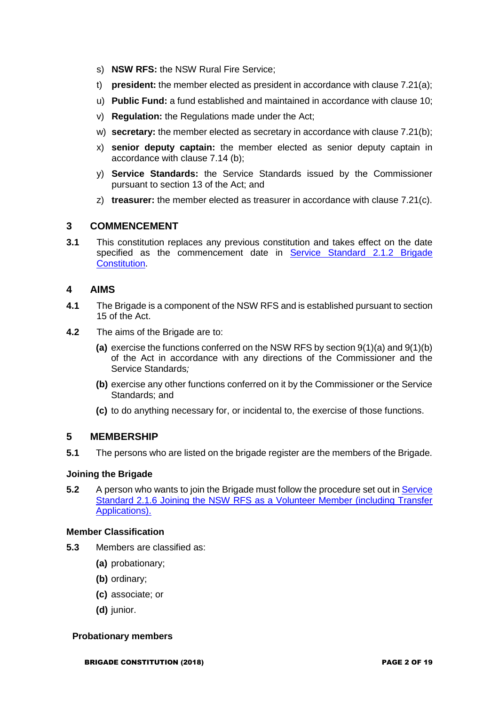- s) **NSW RFS:** the NSW Rural Fire Service;
- t) **president:** the member elected as president in accordance with clause 7.21(a);
- u) **Public Fund:** a fund established and maintained in accordance with clause 10;
- v) **Regulation:** the Regulations made under the Act;
- w) **secretary:** the member elected as secretary in accordance with clause 7.21(b);
- x) **senior deputy captain:** the member elected as senior deputy captain in accordance with clause 7.14 (b);
- y) **Service Standards:** the Service Standards issued by the Commissioner pursuant to section 13 of the Act; and
- z) **treasurer:** the member elected as treasurer in accordance with clause 7.21(c).

#### **3 COMMENCEMENT**

**3.1** This constitution replaces any previous constitution and takes effect on the date specified as the commencement date in Service Standard 2.1.2 Brigade **Constitution** 

## **4 AIMS**

- **4.1** The Brigade is a component of the NSW RFS and is established pursuant to section 15 of the Act.
- **4.2** The aims of the Brigade are to:
	- **(a)** exercise the functions conferred on the NSW RFS by section 9(1)(a) and 9(1)(b) of the Act in accordance with any directions of the Commissioner and the Service Standards*;*
	- **(b)** exercise any other functions conferred on it by the Commissioner or the Service Standards; and
	- **(c)** to do anything necessary for, or incidental to, the exercise of those functions.

#### **5 MEMBERSHIP**

**5.1** The persons who are listed on the brigade register are the members of the Brigade.

#### **Joining the Brigade**

**5.2** A person who wants to join the Brigade must follow the procedure set out in Service [Standard 2.1.6 Joining the NSW RFS as a Volunteer Member \(including Transfer](https://www.myrfs.nsw.gov.au/DesktopModules/Bring2mind/DMX/Download.aspx?EntryId=15503&PortalId=0&DownloadMethod=attachment)  [Applications\).](https://www.myrfs.nsw.gov.au/DesktopModules/Bring2mind/DMX/Download.aspx?EntryId=15503&PortalId=0&DownloadMethod=attachment)

#### **Member Classification**

- **5.3** Members are classified as:
	- **(a)** probationary;
	- **(b)** ordinary;
	- **(c)** associate; or
	- **(d)** junior.

#### **Probationary members**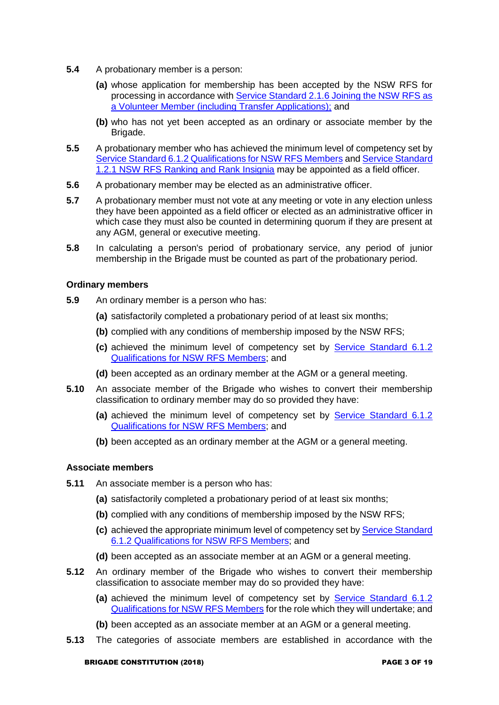- **5.4** A probationary member is a person:
	- **(a)** whose application for membership has been accepted by the NSW RFS for processing in accordance with [Service Standard 2.1.6 Joining the NSW RFS as](https://www.myrfs.nsw.gov.au/DesktopModules/Bring2mind/DMX/Download.aspx?EntryId=15503&PortalId=0&DownloadMethod=attachment)  [a Volunteer Member \(including Transfer Applications\);](https://www.myrfs.nsw.gov.au/DesktopModules/Bring2mind/DMX/Download.aspx?EntryId=15503&PortalId=0&DownloadMethod=attachment) and
	- **(b)** who has not yet been accepted as an ordinary or associate member by the Brigade.
- **5.5** A probationary member who has achieved the minimum level of competency set by [Service Standard 6.1.2 Qualifications for NSW RFS Members](https://www.myrfs.nsw.gov.au/DesktopModules/Bring2mind/DMX/Download.aspx?EntryId=15554&PortalId=0&DownloadMethod=attachment) an[d Service Standard](https://www.myrfs.nsw.gov.au/DesktopModules/Bring2mind/DMX/Download.aspx?EntryId=15489&PortalId=0&DownloadMethod=attachment)  [1.2.1 NSW RFS Ranking and Rank Insignia](https://www.myrfs.nsw.gov.au/DesktopModules/Bring2mind/DMX/Download.aspx?EntryId=15489&PortalId=0&DownloadMethod=attachment) may be appointed as a field officer.
- **5.6** A probationary member may be elected as an administrative officer.
- **5.7** A probationary member must not vote at any meeting or vote in any election unless they have been appointed as a field officer or elected as an administrative officer in which case they must also be counted in determining quorum if they are present at any AGM, general or executive meeting.
- **5.8** In calculating a person's period of probationary service, any period of junior membership in the Brigade must be counted as part of the probationary period.

#### **Ordinary members**

- **5.9** An ordinary member is a person who has:
	- **(a)** satisfactorily completed a probationary period of at least six months;
	- **(b)** complied with any conditions of membership imposed by the NSW RFS;
	- **(c)** achieved the minimum level of competency set by [Service Standard 6.1.2](https://www.myrfs.nsw.gov.au/DesktopModules/Bring2mind/DMX/Download.aspx?EntryId=15554&PortalId=0&DownloadMethod=attachment)  [Qualifications for NSW RFS Members;](https://www.myrfs.nsw.gov.au/DesktopModules/Bring2mind/DMX/Download.aspx?EntryId=15554&PortalId=0&DownloadMethod=attachment) and
	- **(d)** been accepted as an ordinary member at the AGM or a general meeting.
- **5.10** An associate member of the Brigade who wishes to convert their membership classification to ordinary member may do so provided they have:
	- **(a)** achieved the minimum level of competency set by [Service Standard 6.1.2](https://www.myrfs.nsw.gov.au/DesktopModules/Bring2mind/DMX/Download.aspx?EntryId=15554&PortalId=0&DownloadMethod=attachment)  [Qualifications for NSW RFS Members;](https://www.myrfs.nsw.gov.au/DesktopModules/Bring2mind/DMX/Download.aspx?EntryId=15554&PortalId=0&DownloadMethod=attachment) and
	- **(b)** been accepted as an ordinary member at the AGM or a general meeting.

#### **Associate members**

- **5.11** An associate member is a person who has:
	- **(a)** satisfactorily completed a probationary period of at least six months;
	- **(b)** complied with any conditions of membership imposed by the NSW RFS;
	- **(c)** achieved the appropriate minimum level of competency set by [Service Standard](https://www.myrfs.nsw.gov.au/DesktopModules/Bring2mind/DMX/Download.aspx?EntryId=15554&PortalId=0&DownloadMethod=attachment)  [6.1.2 Qualifications for NSW RFS Members;](https://www.myrfs.nsw.gov.au/DesktopModules/Bring2mind/DMX/Download.aspx?EntryId=15554&PortalId=0&DownloadMethod=attachment) and
	- **(d)** been accepted as an associate member at an AGM or a general meeting.
- **5.12** An ordinary member of the Brigade who wishes to convert their membership classification to associate member may do so provided they have:
	- **(a)** achieved the minimum level of competency set by [Service Standard 6.1.2](https://www.myrfs.nsw.gov.au/DesktopModules/Bring2mind/DMX/Download.aspx?EntryId=15554&PortalId=0&DownloadMethod=attachment)  [Qualifications for NSW RFS Members](https://www.myrfs.nsw.gov.au/DesktopModules/Bring2mind/DMX/Download.aspx?EntryId=15554&PortalId=0&DownloadMethod=attachment) for the role which they will undertake; and
	- **(b)** been accepted as an associate member at an AGM or a general meeting.
- **5.13** The categories of associate members are established in accordance with the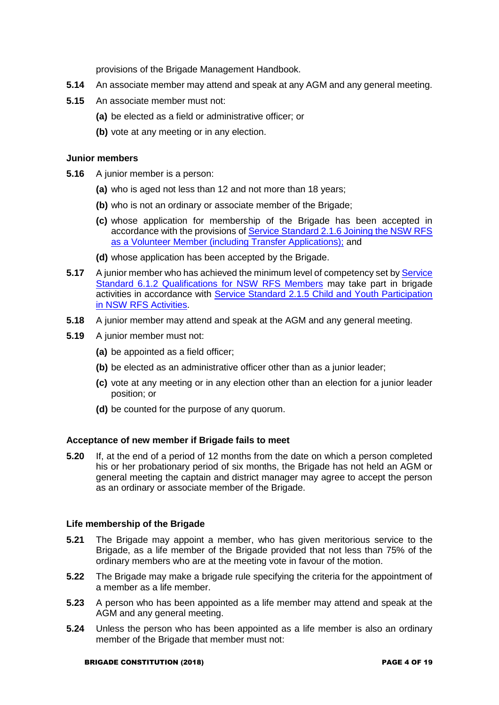provisions of the Brigade Management Handbook.

- **5.14** An associate member may attend and speak at any AGM and any general meeting.
- **5.15** An associate member must not:
	- **(a)** be elected as a field or administrative officer; or
	- **(b)** vote at any meeting or in any election.

#### **Junior members**

- **5.16** A junior member is a person:
	- **(a)** who is aged not less than 12 and not more than 18 years;
	- **(b)** who is not an ordinary or associate member of the Brigade;
	- **(c)** whose application for membership of the Brigade has been accepted in accordance with the provisions of Service Standard 2.1.6 Joining the NSW RFS [as a Volunteer Member \(including Transfer Applications\);](https://www.myrfs.nsw.gov.au/DesktopModules/Bring2mind/DMX/Download.aspx?EntryId=15503&PortalId=0&DownloadMethod=attachment) and
	- **(d)** whose application has been accepted by the Brigade.
- **5.17** A junior member who has achieved the minimum level of competency set b[y Service](https://www.myrfs.nsw.gov.au/DesktopModules/Bring2mind/DMX/Download.aspx?EntryId=15554&PortalId=0&DownloadMethod=attachment)  [Standard 6.1.2 Qualifications for NSW RFS Members](https://www.myrfs.nsw.gov.au/DesktopModules/Bring2mind/DMX/Download.aspx?EntryId=15554&PortalId=0&DownloadMethod=attachment) may take part in brigade activities in accordance with [Service Standard 2.1.5 Child and Youth Participation](https://www.myrfs.nsw.gov.au/DesktopModules/Bring2mind/DMX/Download.aspx?EntryId=15502&PortalId=0&DownloadMethod=attachment)  [in NSW RFS Activities.](https://www.myrfs.nsw.gov.au/DesktopModules/Bring2mind/DMX/Download.aspx?EntryId=15502&PortalId=0&DownloadMethod=attachment)
- **5.18** A junior member may attend and speak at the AGM and any general meeting.
- **5.19** A junior member must not:
	- **(a)** be appointed as a field officer;
	- **(b)** be elected as an administrative officer other than as a junior leader;
	- **(c)** vote at any meeting or in any election other than an election for a junior leader position; or
	- **(d)** be counted for the purpose of any quorum.

#### **Acceptance of new member if Brigade fails to meet**

**5.20** If, at the end of a period of 12 months from the date on which a person completed his or her probationary period of six months, the Brigade has not held an AGM or general meeting the captain and district manager may agree to accept the person as an ordinary or associate member of the Brigade.

#### **Life membership of the Brigade**

- **5.21** The Brigade may appoint a member, who has given meritorious service to the Brigade, as a life member of the Brigade provided that not less than 75% of the ordinary members who are at the meeting vote in favour of the motion.
- **5.22** The Brigade may make a brigade rule specifying the criteria for the appointment of a member as a life member.
- **5.23** A person who has been appointed as a life member may attend and speak at the AGM and any general meeting.
- **5.24** Unless the person who has been appointed as a life member is also an ordinary member of the Brigade that member must not: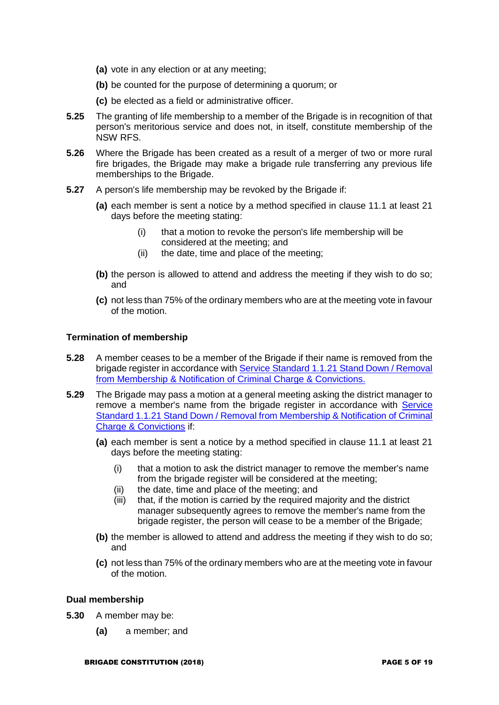- **(a)** vote in any election or at any meeting;
- **(b)** be counted for the purpose of determining a quorum; or
- **(c)** be elected as a field or administrative officer.
- **5.25** The granting of life membership to a member of the Brigade is in recognition of that person's meritorious service and does not, in itself, constitute membership of the NSW RFS.
- **5.26** Where the Brigade has been created as a result of a merger of two or more rural fire brigades, the Brigade may make a brigade rule transferring any previous life memberships to the Brigade.
- **5.27** A person's life membership may be revoked by the Brigade if:
	- **(a)** each member is sent a notice by a method specified in clause 11.1 at least 21 days before the meeting stating:
		- (i) that a motion to revoke the person's life membership will be considered at the meeting; and
		- (ii) the date, time and place of the meeting;
	- **(b)** the person is allowed to attend and address the meeting if they wish to do so; and
	- **(c)** not less than 75% of the ordinary members who are at the meeting vote in favour of the motion.

#### **Termination of membership**

- **5.28** A member ceases to be a member of the Brigade if their name is removed from the brigade register in accordance wit[h Service Standard 1.1.21 Stand Down / Removal](https://www.myrfs.nsw.gov.au/DesktopModules/Bring2mind/DMX/Download.aspx?EntryId=15478&PortalId=0&DownloadMethod=attachment)  [from Membership & Notification of Criminal Charge & Convictions.](https://www.myrfs.nsw.gov.au/DesktopModules/Bring2mind/DMX/Download.aspx?EntryId=15478&PortalId=0&DownloadMethod=attachment)
- **5.29** The Brigade may pass a motion at a general meeting asking the district manager to remove a member's name from the brigade register in accordance with Service [Standard 1.1.21 Stand Down / Removal from Membership & Notification of Criminal](https://www.myrfs.nsw.gov.au/DesktopModules/Bring2mind/DMX/Download.aspx?EntryId=15478&PortalId=0&DownloadMethod=attachment)  [Charge & Convictions](https://www.myrfs.nsw.gov.au/DesktopModules/Bring2mind/DMX/Download.aspx?EntryId=15478&PortalId=0&DownloadMethod=attachment) if:
	- **(a)** each member is sent a notice by a method specified in clause 11.1 at least 21 days before the meeting stating:
		- (i) that a motion to ask the district manager to remove the member's name from the brigade register will be considered at the meeting;
		- (ii) the date, time and place of the meeting; and
		- (iii) that, if the motion is carried by the required majority and the district manager subsequently agrees to remove the member's name from the brigade register, the person will cease to be a member of the Brigade;
	- **(b)** the member is allowed to attend and address the meeting if they wish to do so; and
	- **(c)** not less than 75% of the ordinary members who are at the meeting vote in favour of the motion.

### **Dual membership**

- **5.30** A member may be:
	- **(a)** a member; and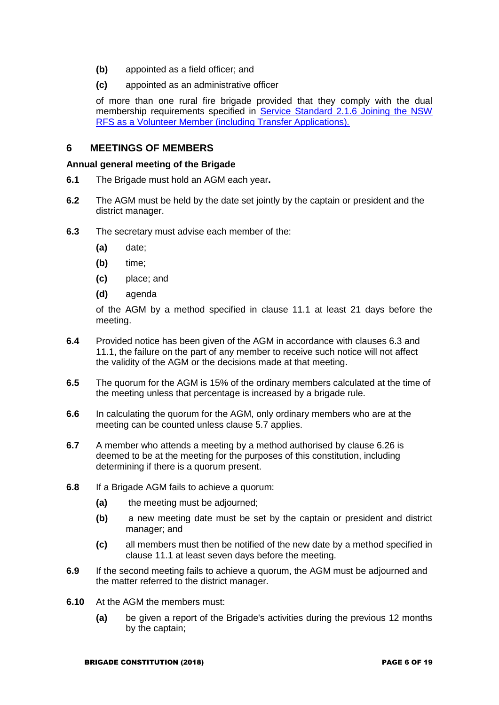- **(b)** appointed as a field officer; and
- **(c)** appointed as an administrative officer

of more than one rural fire brigade provided that they comply with the dual membership requirements specified in [Service Standard 2.1.6 Joining the NSW](https://www.myrfs.nsw.gov.au/DesktopModules/Bring2mind/DMX/Download.aspx?EntryId=15503&PortalId=0&DownloadMethod=attachment)  [RFS as a Volunteer Member \(including Transfer Applications\)](https://www.myrfs.nsw.gov.au/DesktopModules/Bring2mind/DMX/Download.aspx?EntryId=15503&PortalId=0&DownloadMethod=attachment)*.*

### **6 MEETINGS OF MEMBERS**

#### **Annual general meeting of the Brigade**

- **6.1** The Brigade must hold an AGM each year**.**
- **6.2** The AGM must be held by the date set jointly by the captain or president and the district manager.
- **6.3** The secretary must advise each member of the:
	- **(a)** date;
	- **(b)** time;
	- **(c)** place; and
	- **(d)** agenda

of the AGM by a method specified in clause 11.1 at least 21 days before the meeting.

- **6.4** Provided notice has been given of the AGM in accordance with clauses 6.3 and 11.1, the failure on the part of any member to receive such notice will not affect the validity of the AGM or the decisions made at that meeting.
- **6.5** The quorum for the AGM is 15% of the ordinary members calculated at the time of the meeting unless that percentage is increased by a brigade rule.
- **6.6** In calculating the quorum for the AGM, only ordinary members who are at the meeting can be counted unless clause 5.7 applies.
- **6.7** A member who attends a meeting by a method authorised by clause 6.26 is deemed to be at the meeting for the purposes of this constitution, including determining if there is a quorum present.
- **6.8** If a Brigade AGM fails to achieve a quorum:
	- **(a)** the meeting must be adjourned;
	- **(b)** a new meeting date must be set by the captain or president and district manager; and
	- **(c)** all members must then be notified of the new date by a method specified in clause 11.1 at least seven days before the meeting.
- **6.9** If the second meeting fails to achieve a quorum, the AGM must be adjourned and the matter referred to the district manager.
- **6.10** At the AGM the members must:
	- **(a)** be given a report of the Brigade's activities during the previous 12 months by the captain;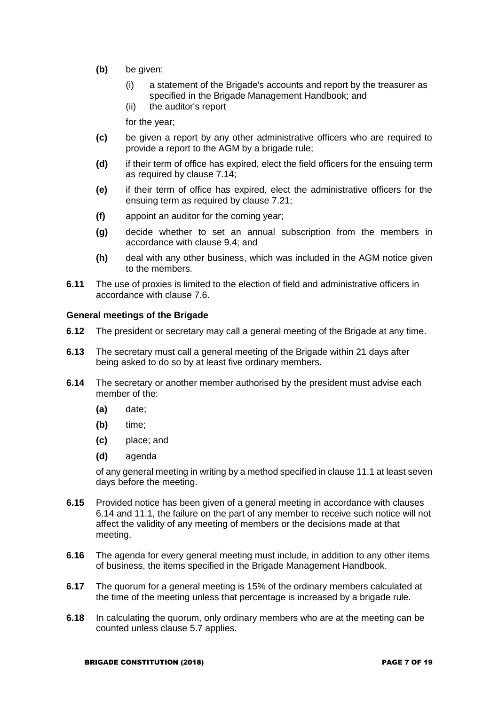- **(b)** be given:
	- (i) a statement of the Brigade's accounts and report by the treasurer as specified in the Brigade Management Handbook; and
	- (ii) the auditor's report

for the year;

- **(c)** be given a report by any other administrative officers who are required to provide a report to the AGM by a brigade rule;
- **(d)** if their term of office has expired, elect the field officers for the ensuing term as required by clause 7.14;
- **(e)** if their term of office has expired, elect the administrative officers for the ensuing term as required by clause 7.21;
- **(f)** appoint an auditor for the coming year;
- **(g)** decide whether to set an annual subscription from the members in accordance with clause 9.4; and
- **(h)** deal with any other business, which was included in the AGM notice given to the members.
- **6.11** The use of proxies is limited to the election of field and administrative officers in accordance with clause 7.6.

#### **General meetings of the Brigade**

- **6.12** The president or secretary may call a general meeting of the Brigade at any time.
- **6.13** The secretary must call a general meeting of the Brigade within 21 days after being asked to do so by at least five ordinary members.
- **6.14** The secretary or another member authorised by the president must advise each member of the:
	- **(a)** date;
	- **(b)** time;
	- **(c)** place; and
	- **(d)** agenda

of any general meeting in writing by a method specified in clause 11.1 at least seven days before the meeting.

- **6.15** Provided notice has been given of a general meeting in accordance with clauses 6.14 and 11.1, the failure on the part of any member to receive such notice will not affect the validity of any meeting of members or the decisions made at that meeting.
- **6.16** The agenda for every general meeting must include, in addition to any other items of business, the items specified in the Brigade Management Handbook.
- **6.17** The quorum for a general meeting is 15% of the ordinary members calculated at the time of the meeting unless that percentage is increased by a brigade rule.
- **6.18** In calculating the quorum, only ordinary members who are at the meeting can be counted unless clause 5.7 applies.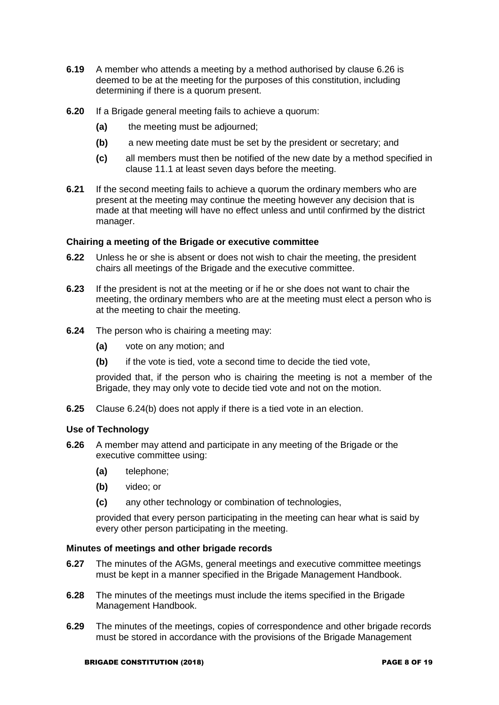- **6.19** A member who attends a meeting by a method authorised by clause 6.26 is deemed to be at the meeting for the purposes of this constitution, including determining if there is a quorum present.
- **6.20** If a Brigade general meeting fails to achieve a quorum:
	- **(a)** the meeting must be adjourned;
	- **(b)** a new meeting date must be set by the president or secretary; and
	- **(c)** all members must then be notified of the new date by a method specified in clause 11.1 at least seven days before the meeting.
- **6.21** If the second meeting fails to achieve a quorum the ordinary members who are present at the meeting may continue the meeting however any decision that is made at that meeting will have no effect unless and until confirmed by the district manager.

#### **Chairing a meeting of the Brigade or executive committee**

- **6.22** Unless he or she is absent or does not wish to chair the meeting, the president chairs all meetings of the Brigade and the executive committee.
- **6.23** If the president is not at the meeting or if he or she does not want to chair the meeting, the ordinary members who are at the meeting must elect a person who is at the meeting to chair the meeting.
- **6.24** The person who is chairing a meeting may:
	- **(a)** vote on any motion; and
	- **(b)** if the vote is tied, vote a second time to decide the tied vote,

provided that, if the person who is chairing the meeting is not a member of the Brigade, they may only vote to decide tied vote and not on the motion.

**6.25** Clause 6.24(b) does not apply if there is a tied vote in an election.

#### **Use of Technology**

- **6.26** A member may attend and participate in any meeting of the Brigade or the executive committee using:
	- **(a)** telephone;
	- **(b)** video; or
	- **(c)** any other technology or combination of technologies,

provided that every person participating in the meeting can hear what is said by every other person participating in the meeting.

#### **Minutes of meetings and other brigade records**

- **6.27** The minutes of the AGMs, general meetings and executive committee meetings must be kept in a manner specified in the Brigade Management Handbook.
- **6.28** The minutes of the meetings must include the items specified in the Brigade Management Handbook.
- **6.29** The minutes of the meetings, copies of correspondence and other brigade records must be stored in accordance with the provisions of the Brigade Management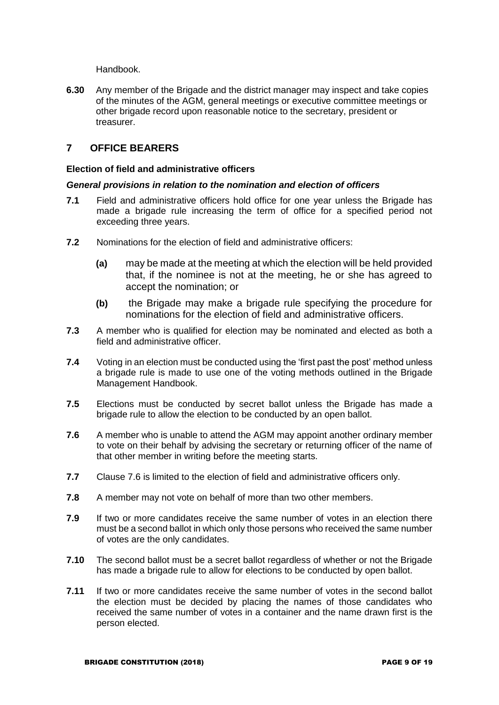Handbook.

**6.30** Any member of the Brigade and the district manager may inspect and take copies of the minutes of the AGM, general meetings or executive committee meetings or other brigade record upon reasonable notice to the secretary, president or treasurer.

## **7 OFFICE BEARERS**

#### **Election of field and administrative officers**

#### *General provisions in relation to the nomination and election of officers*

- **7.1** Field and administrative officers hold office for one year unless the Brigade has made a brigade rule increasing the term of office for a specified period not exceeding three years.
- **7.2** Nominations for the election of field and administrative officers:
	- **(a)** may be made at the meeting at which the election will be held provided that, if the nominee is not at the meeting, he or she has agreed to accept the nomination; or
	- **(b)** the Brigade may make a brigade rule specifying the procedure for nominations for the election of field and administrative officers.
- **7.3** A member who is qualified for election may be nominated and elected as both a field and administrative officer.
- **7.4** Voting in an election must be conducted using the 'first past the post' method unless a brigade rule is made to use one of the voting methods outlined in the Brigade Management Handbook.
- **7.5** Elections must be conducted by secret ballot unless the Brigade has made a brigade rule to allow the election to be conducted by an open ballot.
- **7.6** A member who is unable to attend the AGM may appoint another ordinary member to vote on their behalf by advising the secretary or returning officer of the name of that other member in writing before the meeting starts.
- **7.7** Clause 7.6 is limited to the election of field and administrative officers only.
- **7.8** A member may not vote on behalf of more than two other members.
- **7.9** If two or more candidates receive the same number of votes in an election there must be a second ballot in which only those persons who received the same number of votes are the only candidates.
- **7.10** The second ballot must be a secret ballot regardless of whether or not the Brigade has made a brigade rule to allow for elections to be conducted by open ballot.
- **7.11** If two or more candidates receive the same number of votes in the second ballot the election must be decided by placing the names of those candidates who received the same number of votes in a container and the name drawn first is the person elected.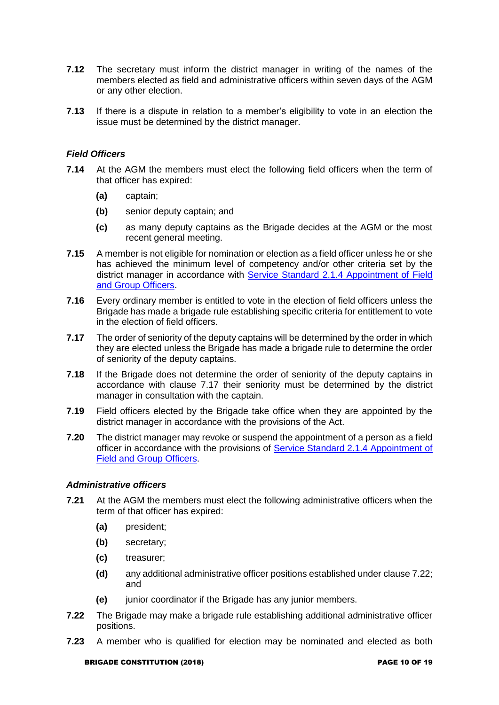- **7.12** The secretary must inform the district manager in writing of the names of the members elected as field and administrative officers within seven days of the AGM or any other election.
- **7.13** If there is a dispute in relation to a member's eligibility to vote in an election the issue must be determined by the district manager.

#### *Field Officers*

- **7.14** At the AGM the members must elect the following field officers when the term of that officer has expired:
	- **(a)** captain;
	- **(b)** senior deputy captain; and
	- **(c)** as many deputy captains as the Brigade decides at the AGM or the most recent general meeting.
- **7.15** A member is not eligible for nomination or election as a field officer unless he or she has achieved the minimum level of competency and/or other criteria set by the district manager in accordance with [Service Standard 2.1.4 Appointment of Field](https://www.myrfs.nsw.gov.au/DesktopModules/Bring2mind/DMX/Download.aspx?EntryId=15501&PortalId=0&DownloadMethod=attachment)  [and Group Officers.](https://www.myrfs.nsw.gov.au/DesktopModules/Bring2mind/DMX/Download.aspx?EntryId=15501&PortalId=0&DownloadMethod=attachment)
- **7.16** Every ordinary member is entitled to vote in the election of field officers unless the Brigade has made a brigade rule establishing specific criteria for entitlement to vote in the election of field officers.
- **7.17** The order of seniority of the deputy captains will be determined by the order in which they are elected unless the Brigade has made a brigade rule to determine the order of seniority of the deputy captains.
- **7.18** If the Brigade does not determine the order of seniority of the deputy captains in accordance with clause 7.17 their seniority must be determined by the district manager in consultation with the captain.
- **7.19** Field officers elected by the Brigade take office when they are appointed by the district manager in accordance with the provisions of the Act.
- **7.20** The district manager may revoke or suspend the appointment of a person as a field officer in accordance with the provisions of [Service Standard 2.1.4 Appointment of](https://www.myrfs.nsw.gov.au/DesktopModules/Bring2mind/DMX/Download.aspx?EntryId=15501&PortalId=0&DownloadMethod=attachment)  [Field and Group Officers.](https://www.myrfs.nsw.gov.au/DesktopModules/Bring2mind/DMX/Download.aspx?EntryId=15501&PortalId=0&DownloadMethod=attachment)

#### *Administrative officers*

- **7.21** At the AGM the members must elect the following administrative officers when the term of that officer has expired:
	- **(a)** president;
	- **(b)** secretary;
	- **(c)** treasurer;
	- **(d)** any additional administrative officer positions established under clause 7.22; and
	- **(e)** junior coordinator if the Brigade has any junior members.
- **7.22** The Brigade may make a brigade rule establishing additional administrative officer positions.
- **7.23** A member who is qualified for election may be nominated and elected as both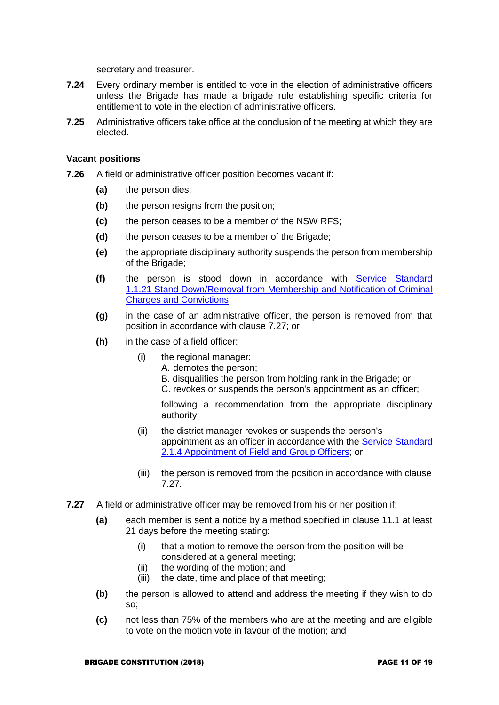secretary and treasurer.

- **7.24** Every ordinary member is entitled to vote in the election of administrative officers unless the Brigade has made a brigade rule establishing specific criteria for entitlement to vote in the election of administrative officers.
- **7.25** Administrative officers take office at the conclusion of the meeting at which they are elected.

#### **Vacant positions**

- **7.26** A field or administrative officer position becomes vacant if:
	- **(a)** the person dies;
	- **(b)** the person resigns from the position;
	- **(c)** the person ceases to be a member of the NSW RFS;
	- **(d)** the person ceases to be a member of the Brigade;
	- **(e)** the appropriate disciplinary authority suspends the person from membership of the Brigade;
	- **(f)** the person is stood down in accordance with [Service Standard](https://www.myrfs.nsw.gov.au/DesktopModules/Bring2mind/DMX/Download.aspx?EntryId=15478&PortalId=0&DownloadMethod=attachment)  [1.1.21 Stand Down/Removal from Membership and Notification of Criminal](https://www.myrfs.nsw.gov.au/DesktopModules/Bring2mind/DMX/Download.aspx?EntryId=15478&PortalId=0&DownloadMethod=attachment)  [Charges and Convictions;](https://www.myrfs.nsw.gov.au/DesktopModules/Bring2mind/DMX/Download.aspx?EntryId=15478&PortalId=0&DownloadMethod=attachment)
	- **(g)** in the case of an administrative officer, the person is removed from that position in accordance with clause 7.27; or
	- **(h)** in the case of a field officer:
		- (i) the regional manager:
			- A. demotes the person;
				- B. disqualifies the person from holding rank in the Brigade; or
				- C. revokes or suspends the person's appointment as an officer;

following a recommendation from the appropriate disciplinary authority;

- (ii) the district manager revokes or suspends the person's appointment as an officer in accordance with the [Service Standard](https://www.myrfs.nsw.gov.au/DesktopModules/Bring2mind/DMX/Download.aspx?EntryId=15501&PortalId=0&DownloadMethod=attachment)  [2.1.4 Appointment of Field and Group Officers;](https://www.myrfs.nsw.gov.au/DesktopModules/Bring2mind/DMX/Download.aspx?EntryId=15501&PortalId=0&DownloadMethod=attachment) or
- (iii) the person is removed from the position in accordance with clause 7.27.
- **7.27** A field or administrative officer may be removed from his or her position if:
	- **(a)** each member is sent a notice by a method specified in clause 11.1 at least 21 days before the meeting stating:
		- (i) that a motion to remove the person from the position will be considered at a general meeting;
		- (ii) the wording of the motion; and
		- (iii) the date, time and place of that meeting;
	- **(b)** the person is allowed to attend and address the meeting if they wish to do so;
	- **(c)** not less than 75% of the members who are at the meeting and are eligible to vote on the motion vote in favour of the motion; and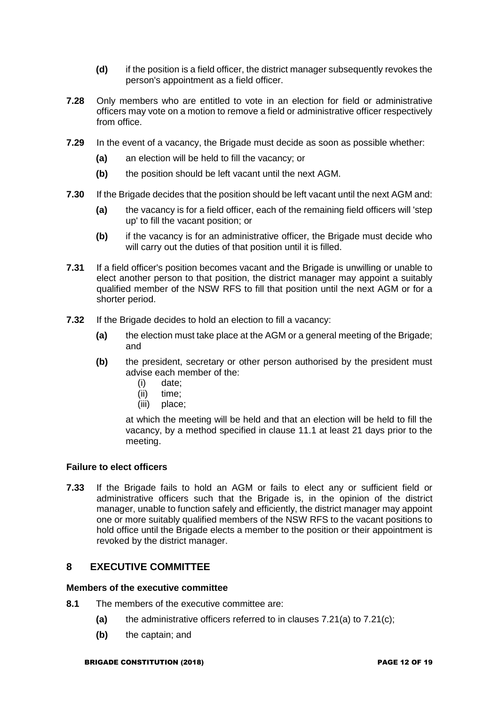- **(d)** if the position is a field officer, the district manager subsequently revokes the person's appointment as a field officer.
- **7.28** Only members who are entitled to vote in an election for field or administrative officers may vote on a motion to remove a field or administrative officer respectively from office.
- **7.29** In the event of a vacancy, the Brigade must decide as soon as possible whether:
	- **(a)** an election will be held to fill the vacancy; or
	- **(b)** the position should be left vacant until the next AGM.
- **7.30** If the Brigade decides that the position should be left vacant until the next AGM and:
	- **(a)** the vacancy is for a field officer, each of the remaining field officers will 'step up' to fill the vacant position; or
	- **(b)** if the vacancy is for an administrative officer, the Brigade must decide who will carry out the duties of that position until it is filled.
- **7.31** If a field officer's position becomes vacant and the Brigade is unwilling or unable to elect another person to that position, the district manager may appoint a suitably qualified member of the NSW RFS to fill that position until the next AGM or for a shorter period.
- **7.32** If the Brigade decides to hold an election to fill a vacancy:
	- **(a)** the election must take place at the AGM or a general meeting of the Brigade; and
	- **(b)** the president, secretary or other person authorised by the president must advise each member of the:
		- (i) date;
		- (ii) time;
		- (iii) place;

at which the meeting will be held and that an election will be held to fill the vacancy, by a method specified in clause 11.1 at least 21 days prior to the meeting.

#### **Failure to elect officers**

**7.33** If the Brigade fails to hold an AGM or fails to elect any or sufficient field or administrative officers such that the Brigade is, in the opinion of the district manager, unable to function safely and efficiently, the district manager may appoint one or more suitably qualified members of the NSW RFS to the vacant positions to hold office until the Brigade elects a member to the position or their appointment is revoked by the district manager.

### **8 EXECUTIVE COMMITTEE**

#### **Members of the executive committee**

- **8.1** The members of the executive committee are:
	- **(a)** the administrative officers referred to in clauses 7.21(a) to 7.21(c);
	- **(b)** the captain; and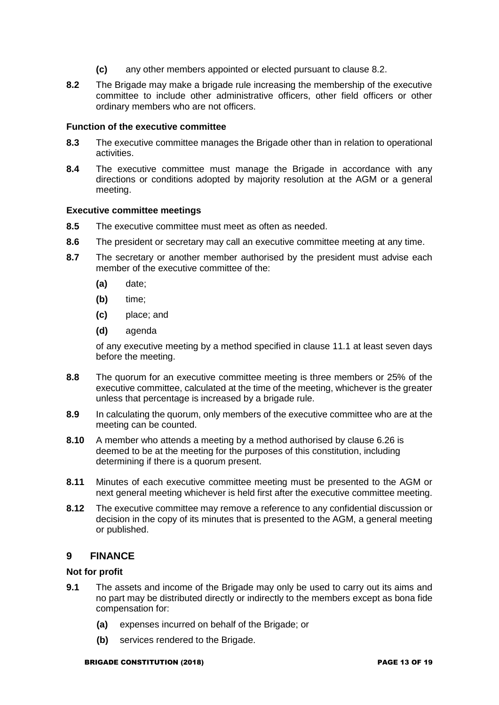- **(c)** any other members appointed or elected pursuant to clause 8.2.
- **8.2** The Brigade may make a brigade rule increasing the membership of the executive committee to include other administrative officers, other field officers or other ordinary members who are not officers.

#### **Function of the executive committee**

- **8.3** The executive committee manages the Brigade other than in relation to operational activities.
- **8.4** The executive committee must manage the Brigade in accordance with any directions or conditions adopted by majority resolution at the AGM or a general meeting.

#### **Executive committee meetings**

- **8.5** The executive committee must meet as often as needed.
- **8.6** The president or secretary may call an executive committee meeting at any time.
- **8.7** The secretary or another member authorised by the president must advise each member of the executive committee of the:
	- **(a)** date;
	- **(b)** time;
	- **(c)** place; and
	- **(d)** agenda

of any executive meeting by a method specified in clause 11.1 at least seven days before the meeting.

- **8.8** The quorum for an executive committee meeting is three members or 25% of the executive committee, calculated at the time of the meeting, whichever is the greater unless that percentage is increased by a brigade rule.
- **8.9** In calculating the quorum, only members of the executive committee who are at the meeting can be counted.
- **8.10** A member who attends a meeting by a method authorised by clause 6.26 is deemed to be at the meeting for the purposes of this constitution, including determining if there is a quorum present.
- **8.11** Minutes of each executive committee meeting must be presented to the AGM or next general meeting whichever is held first after the executive committee meeting.
- **8.12** The executive committee may remove a reference to any confidential discussion or decision in the copy of its minutes that is presented to the AGM, a general meeting or published.

### **9 FINANCE**

#### **Not for profit**

- **9.1** The assets and income of the Brigade may only be used to carry out its aims and no part may be distributed directly or indirectly to the members except as bona fide compensation for:
	- **(a)** expenses incurred on behalf of the Brigade; or
	- **(b)** services rendered to the Brigade.

#### BRIGADE CONSTITUTION (2018) PAGE 13 OF 19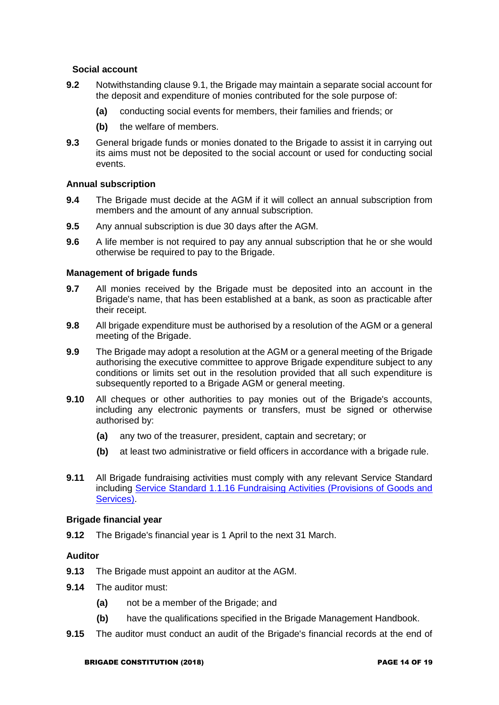#### **Social account**

- **9.2** Notwithstanding clause 9.1, the Brigade may maintain a separate social account for the deposit and expenditure of monies contributed for the sole purpose of:
	- **(a)** conducting social events for members, their families and friends; or
	- **(b)** the welfare of members.
- **9.3** General brigade funds or monies donated to the Brigade to assist it in carrying out its aims must not be deposited to the social account or used for conducting social events.

#### **Annual subscription**

- **9.4** The Brigade must decide at the AGM if it will collect an annual subscription from members and the amount of any annual subscription.
- **9.5** Any annual subscription is due 30 days after the AGM.
- **9.6** A life member is not required to pay any annual subscription that he or she would otherwise be required to pay to the Brigade.

#### **Management of brigade funds**

- **9.7** All monies received by the Brigade must be deposited into an account in the Brigade's name, that has been established at a bank, as soon as practicable after their receipt.
- **9.8** All brigade expenditure must be authorised by a resolution of the AGM or a general meeting of the Brigade.
- **9.9** The Brigade may adopt a resolution at the AGM or a general meeting of the Brigade authorising the executive committee to approve Brigade expenditure subject to any conditions or limits set out in the resolution provided that all such expenditure is subsequently reported to a Brigade AGM or general meeting.
- **9.10** All cheques or other authorities to pay monies out of the Brigade's accounts, including any electronic payments or transfers, must be signed or otherwise authorised by:
	- **(a)** any two of the treasurer, president, captain and secretary; or
	- **(b)** at least two administrative or field officers in accordance with a brigade rule.
- **9.11** All Brigade fundraising activities must comply with any relevant Service Standard including [Service Standard 1.1.16 Fundraising Activities \(Provisions of Goods and](https://www.myrfs.nsw.gov.au/DesktopModules/Bring2mind/DMX/Download.aspx?EntryId=15473&PortalId=0&DownloadMethod=attachment)  [Services\).](https://www.myrfs.nsw.gov.au/DesktopModules/Bring2mind/DMX/Download.aspx?EntryId=15473&PortalId=0&DownloadMethod=attachment)

#### **Brigade financial year**

**9.12** The Brigade's financial year is 1 April to the next 31 March.

### **Auditor**

- **9.13** The Brigade must appoint an auditor at the AGM.
- **9.14** The auditor must:
	- **(a)** not be a member of the Brigade; and
	- **(b)** have the qualifications specified in the Brigade Management Handbook.
- **9.15** The auditor must conduct an audit of the Brigade's financial records at the end of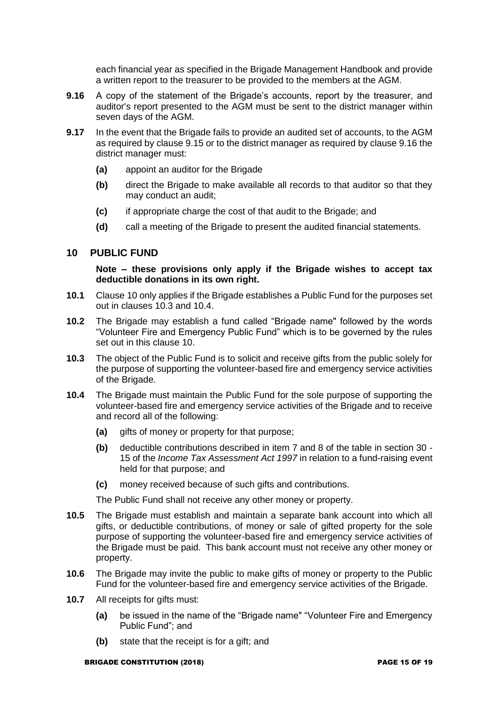each financial year as specified in the Brigade Management Handbook and provide a written report to the treasurer to be provided to the members at the AGM.

- **9.16** A copy of the statement of the Brigade's accounts, report by the treasurer, and auditor's report presented to the AGM must be sent to the district manager within seven days of the AGM.
- **9.17** In the event that the Brigade fails to provide an audited set of accounts, to the AGM as required by clause 9.15 or to the district manager as required by clause 9.16 the district manager must:
	- **(a)** appoint an auditor for the Brigade
	- **(b)** direct the Brigade to make available all records to that auditor so that they may conduct an audit;
	- **(c)** if appropriate charge the cost of that audit to the Brigade; and
	- **(d)** call a meeting of the Brigade to present the audited financial statements.

### **10 PUBLIC FUND**

#### **Note – these provisions only apply if the Brigade wishes to accept tax deductible donations in its own right.**

- **10.1** Clause 10 only applies if the Brigade establishes a Public Fund for the purposes set out in clauses 10.3 and 10.4.
- **10.2** The Brigade may establish a fund called "Brigade name" followed by the words "Volunteer Fire and Emergency Public Fund" which is to be governed by the rules set out in this clause 10.
- **10.3** The object of the Public Fund is to solicit and receive gifts from the public solely for the purpose of supporting the volunteer-based fire and emergency service activities of the Brigade.
- **10.4** The Brigade must maintain the Public Fund for the sole purpose of supporting the volunteer-based fire and emergency service activities of the Brigade and to receive and record all of the following:
	- **(a)** gifts of money or property for that purpose;
	- **(b)** deductible contributions described in item 7 and 8 of the table in section 30 15 of the *Income Tax Assessment Act 1997* in relation to a fund-raising event held for that purpose; and
	- **(c)** money received because of such gifts and contributions.

The Public Fund shall not receive any other money or property.

- **10.5** The Brigade must establish and maintain a separate bank account into which all gifts, or deductible contributions, of money or sale of gifted property for the sole purpose of supporting the volunteer-based fire and emergency service activities of the Brigade must be paid. This bank account must not receive any other money or property.
- **10.6** The Brigade may invite the public to make gifts of money or property to the Public Fund for the volunteer-based fire and emergency service activities of the Brigade.
- **10.7** All receipts for gifts must:
	- **(a)** be issued in the name of the "Brigade name" "Volunteer Fire and Emergency Public Fund"; and
	- **(b)** state that the receipt is for a gift; and

#### BRIGADE CONSTITUTION (2018) PAGE 15 OF 19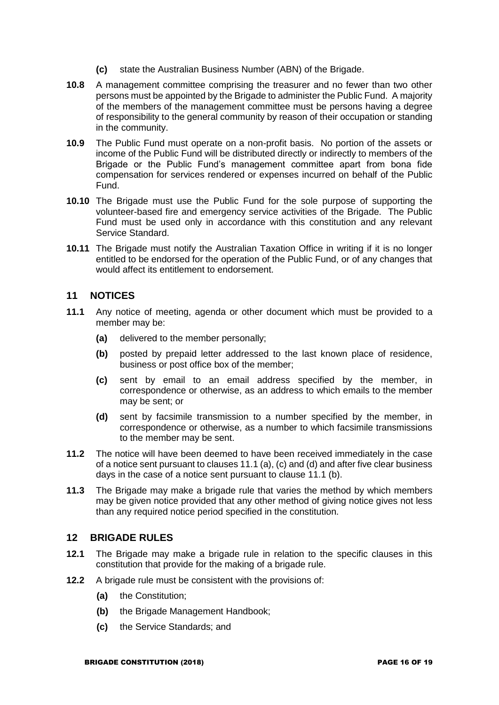- **(c)** state the Australian Business Number (ABN) of the Brigade.
- **10.8** A management committee comprising the treasurer and no fewer than two other persons must be appointed by the Brigade to administer the Public Fund. A majority of the members of the management committee must be persons having a degree of responsibility to the general community by reason of their occupation or standing in the community.
- **10.9** The Public Fund must operate on a non-profit basis. No portion of the assets or income of the Public Fund will be distributed directly or indirectly to members of the Brigade or the Public Fund's management committee apart from bona fide compensation for services rendered or expenses incurred on behalf of the Public Fund.
- **10.10** The Brigade must use the Public Fund for the sole purpose of supporting the volunteer-based fire and emergency service activities of the Brigade. The Public Fund must be used only in accordance with this constitution and any relevant Service Standard.
- **10.11** The Brigade must notify the Australian Taxation Office in writing if it is no longer entitled to be endorsed for the operation of the Public Fund, or of any changes that would affect its entitlement to endorsement.

### **11 NOTICES**

- **11.1** Any notice of meeting, agenda or other document which must be provided to a member may be:
	- **(a)** delivered to the member personally;
	- **(b)** posted by prepaid letter addressed to the last known place of residence, business or post office box of the member;
	- **(c)** sent by email to an email address specified by the member, in correspondence or otherwise, as an address to which emails to the member may be sent; or
	- **(d)** sent by facsimile transmission to a number specified by the member, in correspondence or otherwise, as a number to which facsimile transmissions to the member may be sent.
- **11.2** The notice will have been deemed to have been received immediately in the case of a notice sent pursuant to clauses 11.1 (a), (c) and (d) and after five clear business days in the case of a notice sent pursuant to clause 11.1 (b).
- **11.3** The Brigade may make a brigade rule that varies the method by which members may be given notice provided that any other method of giving notice gives not less than any required notice period specified in the constitution.

### **12 BRIGADE RULES**

- **12.1** The Brigade may make a brigade rule in relation to the specific clauses in this constitution that provide for the making of a brigade rule.
- **12.2** A brigade rule must be consistent with the provisions of:
	- **(a)** the Constitution;
	- **(b)** the Brigade Management Handbook;
	- **(c)** the Service Standards; and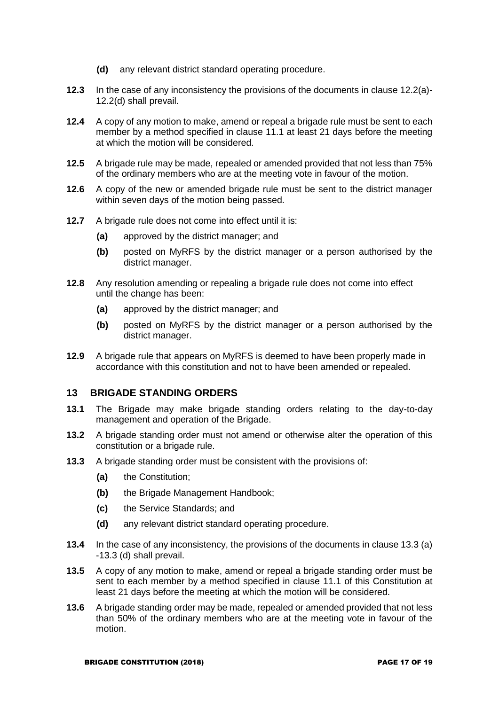- **(d)** any relevant district standard operating procedure.
- **12.3** In the case of any inconsistency the provisions of the documents in clause 12.2(a)- 12.2(d) shall prevail.
- **12.4** A copy of any motion to make, amend or repeal a brigade rule must be sent to each member by a method specified in clause 11.1 at least 21 days before the meeting at which the motion will be considered.
- **12.5** A brigade rule may be made, repealed or amended provided that not less than 75% of the ordinary members who are at the meeting vote in favour of the motion.
- **12.6** A copy of the new or amended brigade rule must be sent to the district manager within seven days of the motion being passed.
- **12.7** A brigade rule does not come into effect until it is:
	- **(a)** approved by the district manager; and
	- **(b)** posted on MyRFS by the district manager or a person authorised by the district manager.
- **12.8** Any resolution amending or repealing a brigade rule does not come into effect until the change has been:
	- **(a)** approved by the district manager; and
	- **(b)** posted on MyRFS by the district manager or a person authorised by the district manager.
- **12.9** A brigade rule that appears on MyRFS is deemed to have been properly made in accordance with this constitution and not to have been amended or repealed.

### **13 BRIGADE STANDING ORDERS**

- **13.1** The Brigade may make brigade standing orders relating to the day-to-day management and operation of the Brigade.
- **13.2** A brigade standing order must not amend or otherwise alter the operation of this constitution or a brigade rule.
- **13.3** A brigade standing order must be consistent with the provisions of:
	- **(a)** the Constitution;
	- **(b)** the Brigade Management Handbook;
	- **(c)** the Service Standards; and
	- **(d)** any relevant district standard operating procedure.
- **13.4** In the case of any inconsistency, the provisions of the documents in clause 13.3 (a) -13.3 (d) shall prevail.
- **13.5** A copy of any motion to make, amend or repeal a brigade standing order must be sent to each member by a method specified in clause 11.1 of this Constitution at least 21 days before the meeting at which the motion will be considered.
- **13.6** A brigade standing order may be made, repealed or amended provided that not less than 50% of the ordinary members who are at the meeting vote in favour of the motion.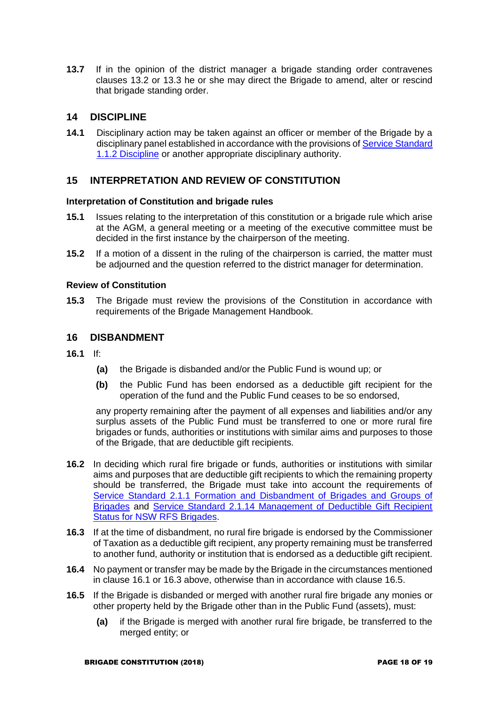**13.7** If in the opinion of the district manager a brigade standing order contravenes clauses 13.2 or 13.3 he or she may direct the Brigade to amend, alter or rescind that brigade standing order.

## **14 DISCIPLINE**

**14.1** Disciplinary action may be taken against an officer or member of the Brigade by a disciplinary panel established in accordance with the provisions o[f Service Standard](https://www.myrfs.nsw.gov.au/DesktopModules/Bring2mind/DMX/Download.aspx?EntryId=15458&PortalId=0&DownloadMethod=attachment)  [1.1.2 Discipline](https://www.myrfs.nsw.gov.au/DesktopModules/Bring2mind/DMX/Download.aspx?EntryId=15458&PortalId=0&DownloadMethod=attachment) or another appropriate disciplinary authority.

### **15 INTERPRETATION AND REVIEW OF CONSTITUTION**

#### **Interpretation of Constitution and brigade rules**

- **15.1** Issues relating to the interpretation of this constitution or a brigade rule which arise at the AGM, a general meeting or a meeting of the executive committee must be decided in the first instance by the chairperson of the meeting.
- **15.2** If a motion of a dissent in the ruling of the chairperson is carried, the matter must be adjourned and the question referred to the district manager for determination.

#### **Review of Constitution**

**15.3** The Brigade must review the provisions of the Constitution in accordance with requirements of the Brigade Management Handbook.

#### **16 DISBANDMENT**

- **16.1** If:
	- **(a)** the Brigade is disbanded and/or the Public Fund is wound up; or
	- **(b)** the Public Fund has been endorsed as a deductible gift recipient for the operation of the fund and the Public Fund ceases to be so endorsed,

any property remaining after the payment of all expenses and liabilities and/or any surplus assets of the Public Fund must be transferred to one or more rural fire brigades or funds, authorities or institutions with similar aims and purposes to those of the Brigade, that are deductible gift recipients.

- **16.2** In deciding which rural fire brigade or funds, authorities or institutions with similar aims and purposes that are deductible gift recipients to which the remaining property should be transferred, the Brigade must take into account the requirements of [Service Standard 2.1.1 Formation and Disbandment of Brigades and Groups of](https://www.myrfs.nsw.gov.au/DesktopModules/Bring2mind/DMX/Download.aspx?EntryId=15497&PortalId=0&DownloadMethod=attachment)  [Brigades](https://www.myrfs.nsw.gov.au/DesktopModules/Bring2mind/DMX/Download.aspx?EntryId=15497&PortalId=0&DownloadMethod=attachment) and [Service Standard 2.1.14 Management of Deductible Gift Recipient](https://www.myrfs.nsw.gov.au/DesktopModules/Bring2mind/DMX/Download.aspx?EntryId=16775&PortalId=0&DownloadMethod=attachment)  [Status for NSW RFS Brigades.](https://www.myrfs.nsw.gov.au/DesktopModules/Bring2mind/DMX/Download.aspx?EntryId=16775&PortalId=0&DownloadMethod=attachment)
- **16.3** If at the time of disbandment, no rural fire brigade is endorsed by the Commissioner of Taxation as a deductible gift recipient, any property remaining must be transferred to another fund, authority or institution that is endorsed as a deductible gift recipient.
- **16.4** No payment or transfer may be made by the Brigade in the circumstances mentioned in clause 16.1 or 16.3 above, otherwise than in accordance with clause 16.5.
- **16.5** If the Brigade is disbanded or merged with another rural fire brigade any monies or other property held by the Brigade other than in the Public Fund (assets), must:
	- **(a)** if the Brigade is merged with another rural fire brigade, be transferred to the merged entity; or